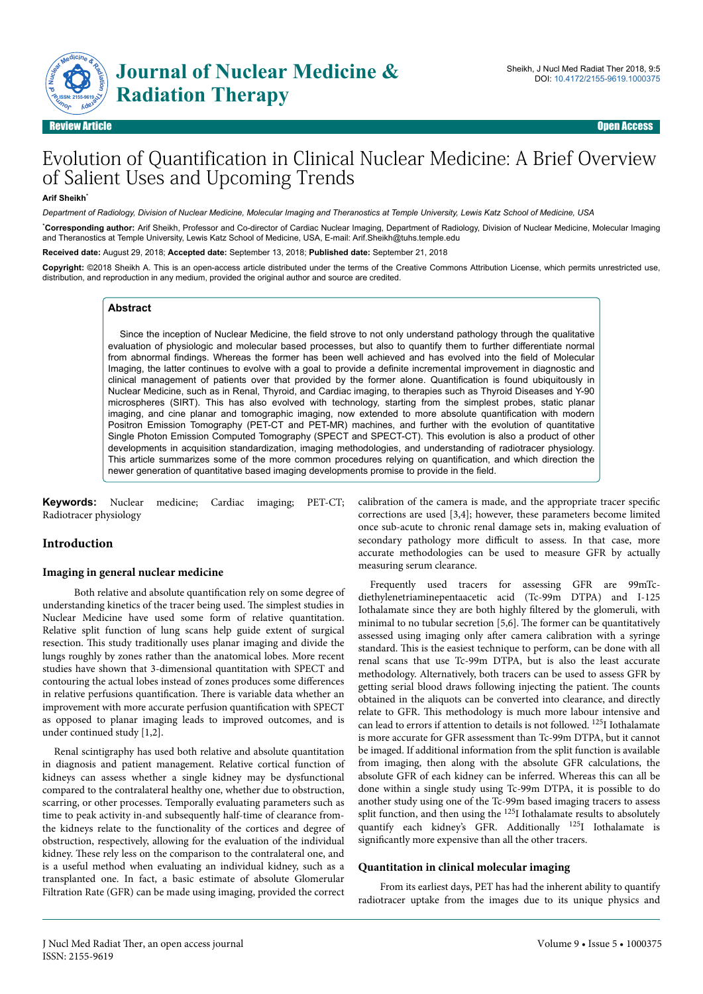

# Evolution of Quantification in Clinical Nuclear Medicine: A Brief Overview of Salient Uses and Upcoming Trends

#### **Arif Sheikh**\*

*Department of Radiology, Division of Nuclear Medicine, Molecular Imaging and Theranostics at Temple University, Lewis Katz School of Medicine, USA*

\***Corresponding author:** Arif Sheikh, Professor and Co-director of Cardiac Nuclear Imaging, Department of Radiology, Division of Nuclear Medicine, Molecular Imaging and Theranostics at Temple University, Lewis Katz School of Medicine, USA, E-mail: Arif.Sheikh@tuhs.temple.edu

**Received date:** August 29, 2018; **Accepted date:** September 13, 2018; **Published date:** September 21, 2018

**Copyright:** ©2018 Sheikh A. This is an open-access article distributed under the terms of the Creative Commons Attribution License, which permits unrestricted use, distribution, and reproduction in any medium, provided the original author and source are credited.

## **Abstract**

Since the inception of Nuclear Medicine, the field strove to not only understand pathology through the qualitative evaluation of physiologic and molecular based processes, but also to quantify them to further differentiate normal from abnormal findings. Whereas the former has been well achieved and has evolved into the field of Molecular Imaging, the latter continues to evolve with a goal to provide a definite incremental improvement in diagnostic and clinical management of patients over that provided by the former alone. Quantification is found ubiquitously in Nuclear Medicine, such as in Renal, Thyroid, and Cardiac imaging, to therapies such as Thyroid Diseases and Y-90 microspheres (SIRT). This has also evolved with technology, starting from the simplest probes, static planar imaging, and cine planar and tomographic imaging, now extended to more absolute quantification with modern Positron Emission Tomography (PET-CT and PET-MR) machines, and further with the evolution of quantitative Single Photon Emission Computed Tomography (SPECT and SPECT-CT). This evolution is also a product of other developments in acquisition standardization, imaging methodologies, and understanding of radiotracer physiology. This article summarizes some of the more common procedures relying on quantification, and which direction the newer generation of quantitative based imaging developments promise to provide in the field.

**Keywords:** Nuclear medicine; Cardiac imaging; PET-CT; Radiotracer physiology

### **Introduction**

#### **Imaging in general nuclear medicine**

Both relative and absolute quantification rely on some degree of understanding kinetics of the tracer being used. Нe simplest studies in Nuclear Medicine have used some form of relative quantitation. Relative split function of lung scans help guide extent of surgical resection. Нis study traditionally uses planar imaging and divide the lungs roughly by zones rather than the anatomical lobes. More recent studies have shown that 3-dimensional quantitation with SPECT and contouring the actual lobes instead of zones produces some differences in relative perfusions quantification. Нere is variable data whether an improvement with more accurate perfusion quantification with SPECT as opposed to planar imaging leads to improved outcomes, and is under continued study [1,2].

Renal scintigraphy has used both relative and absolute quantitation in diagnosis and patient management. Relative cortical function of kidneys can assess whether a single kidney may be dysfunctional compared to the contralateral healthy one, whether due to obstruction, scarring, or other processes. Temporally evaluating parameters such as time to peak activity in-and subsequently half-time of clearance fromthe kidneys relate to the functionality of the cortices and degree of obstruction, respectively, allowing for the evaluation of the individual kidney. Нese rely less on the comparison to the contralateral one, and is a useful method when evaluating an individual kidney, such as a transplanted one. In fact, a basic estimate of absolute Glomerular Filtration Rate (GFR) can be made using imaging, provided the correct

calibration of the camera is made, and the appropriate tracer specific corrections are used [3,4]; however, these parameters become limited once sub-acute to chronic renal damage sets in, making evaluation of secondary pathology more difficult to assess. In that case, more accurate methodologies can be used to measure GFR by actually measuring serum clearance.

Frequently used tracers for assessing GFR are 99mTcdiethylenetriaminepentaacetic acid (Tc-99m DTPA) and I-125 Iothalamate since they are both highly filtered by the glomeruli, with minimal to no tubular secretion [5,6]. Нe former can be quantitatively assessed using imaging only after camera calibration with a syringe standard. Нis is the easiest technique to perform, can be done with all renal scans that use Tc-99m DTPA, but is also the least accurate methodology. Alternatively, both tracers can be used to assess GFR by getting serial blood draws following injecting the patient. Нe counts obtained in the aliquots can be converted into clearance, and directly relate to GFR. Нis methodology is much more labour intensive and can lead to errors if attention to details is not followed. 125I Iothalamate is more accurate for GFR assessment than Tc-99m DTPA, but it cannot be imaged. If additional information from the split function is available from imaging, then along with the absolute GFR calculations, the absolute GFR of each kidney can be inferred. Whereas this can all be done within a single study using Tc-99m DTPA, it is possible to do another study using one of the Tc-99m based imaging tracers to assess split function, and then using the <sup>125</sup>I Iothalamate results to absolutely quantify each kidney's GFR. Additionally <sup>125</sup>I Iothalamate is significantly more expensive than all the other tracers.

#### **Quantitation in clinical molecular imaging**

From its earliest days, PET has had the inherent ability to quantify radiotracer uptake from the images due to its unique physics and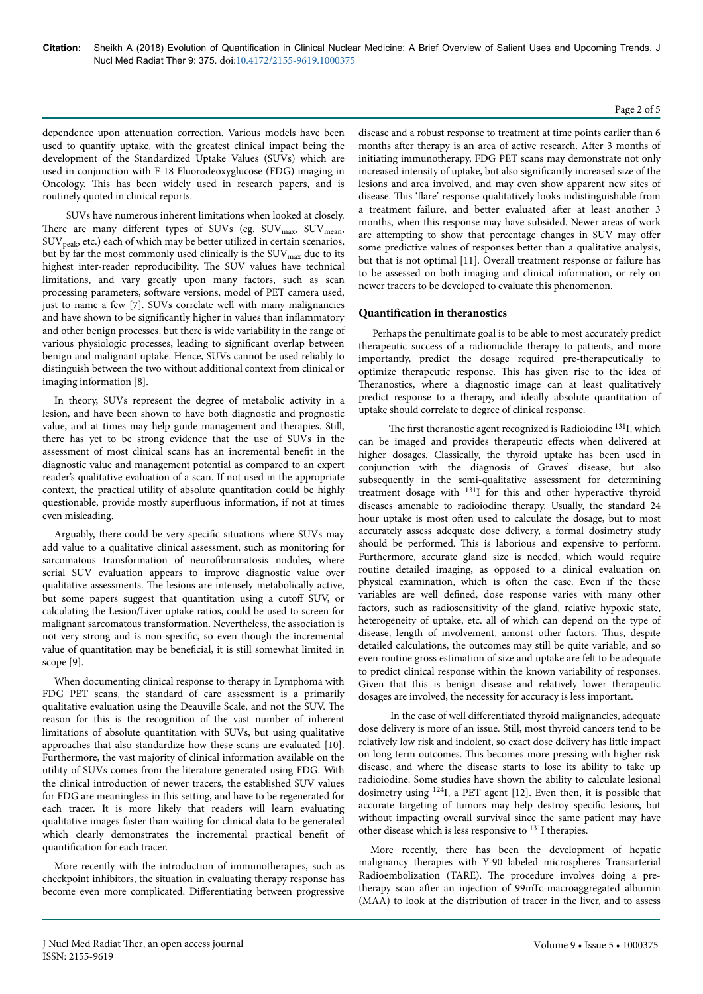#### Page 2 of 5

dependence upon attenuation correction. Various models have been used to quantify uptake, with the greatest clinical impact being the development of the Standardized Uptake Values (SUVs) which are used in conjunction with F-18 Fluorodeoxyglucose (FDG) imaging in Oncology. Нis has been widely used in research papers, and is routinely quoted in clinical reports.

SUVs have numerous inherent limitations when looked at closely. There are many different types of SUVs (eg.  $\text{SUV}_{\text{max}}$ ,  $\text{SUV}_{\text{mean}}$ ,  $\text{SUV}_{\text{peak}}$ , etc.) each of which may be better utilized in certain scenarios, but by far the most commonly used clinically is the  $\text{SUV}_{\text{max}}$  due to its highest inter-reader reproducibility. Нe SUV values have technical limitations, and vary greatly upon many factors, such as scan processing parameters, software versions, model of PET camera used, just to name a few [7]. SUVs correlate well with many malignancies and have shown to be significantly higher in values than inflammatory and other benign processes, but there is wide variability in the range of various physiologic processes, leading to significant overlap between benign and malignant uptake. Hence, SUVs cannot be used reliably to distinguish between the two without additional context from clinical or imaging information [8].

In theory, SUVs represent the degree of metabolic activity in a lesion, and have been shown to have both diagnostic and prognostic value, and at times may help guide management and therapies. Still, there has yet to be strong evidence that the use of SUVs in the assessment of most clinical scans has an incremental benefit in the diagnostic value and management potential as compared to an expert reader's qualitative evaluation of a scan. If not used in the appropriate context, the practical utility of absolute quantitation could be highly questionable, provide mostly superfluous information, if not at times even misleading.

Arguably, there could be very specific situations where SUVs may add value to a qualitative clinical assessment, such as monitoring for sarcomatous transformation of neurofibromatosis nodules, where serial SUV evaluation appears to improve diagnostic value over qualitative assessments. Нe lesions are intensely metabolically active, but some papers suggest that quantitation using a cutoff SUV, or calculating the Lesion/Liver uptake ratios, could be used to screen for malignant sarcomatous transformation. Nevertheless, the association is not very strong and is non-specific, so even though the incremental value of quantitation may be beneficial, it is still somewhat limited in scope [9].

When documenting clinical response to therapy in Lymphoma with FDG PET scans, the standard of care assessment is a primarily qualitative evaluation using the Deauville Scale, and not the SUV. The reason for this is the recognition of the vast number of inherent limitations of absolute quantitation with SUVs, but using qualitative approaches that also standardize how these scans are evaluated [10]. Furthermore, the vast majority of clinical information available on the utility of SUVs comes from the literature generated using FDG. With the clinical introduction of newer tracers, the established SUV values for FDG are meaningless in this setting, and have to be regenerated for each tracer. It is more likely that readers will learn evaluating qualitative images faster than waiting for clinical data to be generated which clearly demonstrates the incremental practical benefit of quantification for each tracer.

More recently with the introduction of immunotherapies, such as checkpoint inhibitors, the situation in evaluating therapy response has become even more complicated. Differentiating between progressive disease and a robust response to treatment at time points earlier than 6 months after therapy is an area of active research. After 3 months of initiating immunotherapy, FDG PET scans may demonstrate not only increased intensity of uptake, but also significantly increased size of the lesions and area involved, and may even show apparent new sites of disease. Нis 'flare' response qualitatively looks indistinguishable from a treatment failure, and better evaluated after at least another 3 months, when this response may have subsided. Newer areas of work are attempting to show that percentage changes in SUV may offer some predictive values of responses better than a qualitative analysis, but that is not optimal [11]. Overall treatment response or failure has to be assessed on both imaging and clinical information, or rely on newer tracers to be developed to evaluate this phenomenon.

## **Quantification in theranostics**

Perhaps the penultimate goal is to be able to most accurately predict therapeutic success of a radionuclide therapy to patients, and more importantly, predict the dosage required pre-therapeutically to optimize therapeutic response. Нis has given rise to the idea of Theranostics, where a diagnostic image can at least qualitatively predict response to a therapy, and ideally absolute quantitation of uptake should correlate to degree of clinical response.

The first theranostic agent recognized is Radioiodine<sup>131</sup>I, which can be imaged and provides therapeutic effects when delivered at higher dosages. Classically, the thyroid uptake has been used in conjunction with the diagnosis of Graves' disease, but also subsequently in the semi-qualitative assessment for determining treatment dosage with 131I for this and other hyperactive thyroid diseases amenable to radioiodine therapy. Usually, the standard 24 hour uptake is most often used to calculate the dosage, but to most accurately assess adequate dose delivery, a formal dosimetry study should be performed. Нis is laborious and expensive to perform. Furthermore, accurate gland size is needed, which would require routine detailed imaging, as opposed to a clinical evaluation on physical examination, which is often the case. Even if the these variables are well defined, dose response varies with many other factors, such as radiosensitivity of the gland, relative hypoxic state, heterogeneity of uptake, etc. all of which can depend on the type of disease, length of involvement, amonst other factors. Нus, despite detailed calculations, the outcomes may still be quite variable, and so even routine gross estimation of size and uptake are felt to be adequate to predict clinical response within the known variability of responses. Given that this is benign disease and relatively lower therapeutic dosages are involved, the necessity for accuracy is less important.

In the case of well differentiated thyroid malignancies, adequate dose delivery is more of an issue. Still, most thyroid cancers tend to be relatively low risk and indolent, so exact dose delivery has little impact on long term outcomes. Нis becomes more pressing with higher risk disease, and where the disease starts to lose its ability to take up radioiodine. Some studies have shown the ability to calculate lesional dosimetry using 124I, a PET agent [12]. Even then, it is possible that accurate targeting of tumors may help destroy specific lesions, but without impacting overall survival since the same patient may have other disease which is less responsive to 131I therapies.

More recently, there has been the development of hepatic malignancy therapies with Y-90 labeled microspheres Transarterial Radioembolization (TARE). Нe procedure involves doing a pretherapy scan after an injection of 99mTc-macroaggregated albumin (MAA) to look at the distribution of tracer in the liver, and to assess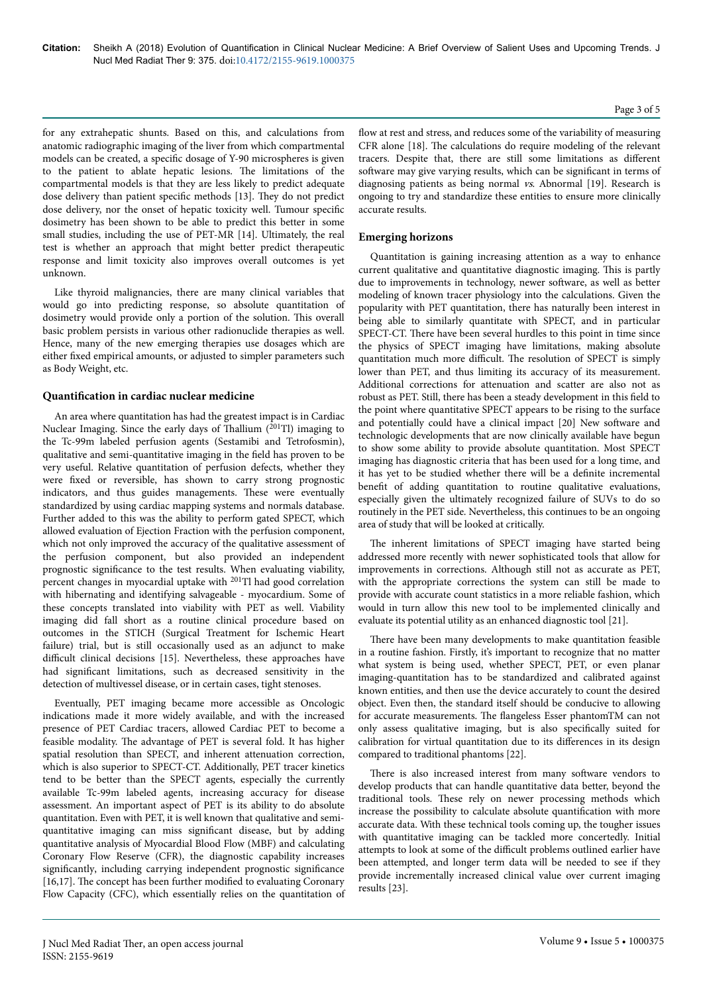for any extrahepatic shunts. Based on this, and calculations from anatomic radiographic imaging of the liver from which compartmental models can be created, a specific dosage of Y-90 microspheres is given to the patient to ablate hepatic lesions. Нe limitations of the compartmental models is that they are less likely to predict adequate dose delivery than patient specific methods [13]. Нey do not predict dose delivery, nor the onset of hepatic toxicity well. Tumour specific dosimetry has been shown to be able to predict this better in some small studies, including the use of PET-MR [14]. Ultimately, the real test is whether an approach that might better predict therapeutic response and limit toxicity also improves overall outcomes is yet unknown.

Like thyroid malignancies, there are many clinical variables that would go into predicting response, so absolute quantitation of dosimetry would provide only a portion of the solution. Нis overall basic problem persists in various other radionuclide therapies as well. Hence, many of the new emerging therapies use dosages which are either fixed empirical amounts, or adjusted to simpler parameters such as Body Weight, etc.

### **Quantification in cardiac nuclear medicine**

An area where quantitation has had the greatest impact is in Cardiac Nuclear Imaging. Since the early days of Thallium  $(201)$  imaging to the Tc-99m labeled perfusion agents (Sestamibi and Tetrofosmin), qualitative and semi-quantitative imaging in the field has proven to be very useful. Relative quantitation of perfusion defects, whether they were fixed or reversible, has shown to carry strong prognostic indicators, and thus guides managements. Нese were eventually standardized by using cardiac mapping systems and normals database. Further added to this was the ability to perform gated SPECT, which allowed evaluation of Ejection Fraction with the perfusion component, which not only improved the accuracy of the qualitative assessment of the perfusion component, but also provided an independent prognostic significance to the test results. When evaluating viability, percent changes in myocardial uptake with 201Tl had good correlation with hibernating and identifying salvageable - myocardium. Some of these concepts translated into viability with PET as well. Viability imaging did fall short as a routine clinical procedure based on outcomes in the STICH (Surgical Treatment for Ischemic Heart failure) trial, but is still occasionally used as an adjunct to make difficult clinical decisions [15]. Nevertheless, these approaches have had significant limitations, such as decreased sensitivity in the detection of multivessel disease, or in certain cases, tight stenoses.

Eventually, PET imaging became more accessible as Oncologic indications made it more widely available, and with the increased presence of PET Cardiac tracers, allowed Cardiac PET to become a feasible modality. Нe advantage of PET is several fold. It has higher spatial resolution than SPECT, and inherent attenuation correction, which is also superior to SPECT-CT. Additionally, PET tracer kinetics tend to be better than the SPECT agents, especially the currently available Tc-99m labeled agents, increasing accuracy for disease assessment. An important aspect of PET is its ability to do absolute quantitation. Even with PET, it is well known that qualitative and semiquantitative imaging can miss significant disease, but by adding quantitative analysis of Myocardial Blood Flow (MBF) and calculating Coronary Flow Reserve (CFR), the diagnostic capability increases significantly, including carrying independent prognostic significance [16,17]. The concept has been further modified to evaluating Coronary Flow Capacity (CFC), which essentially relies on the quantitation of

flow at rest and stress, and reduces some of the variability of measuring CFR alone [18]. Нe calculations do require modeling of the relevant tracers. Despite that, there are still some limitations as different software may give varying results, which can be significant in terms of diagnosing patients as being normal *vs*. Abnormal [19]. Research is ongoing to try and standardize these entities to ensure more clinically accurate results.

## **Emerging horizons**

Quantitation is gaining increasing attention as a way to enhance current qualitative and quantitative diagnostic imaging. Нis is partly due to improvements in technology, newer software, as well as better modeling of known tracer physiology into the calculations. Given the popularity with PET quantitation, there has naturally been interest in being able to similarly quantitate with SPECT, and in particular SPECT-CT. Нere have been several hurdles to this point in time since the physics of SPECT imaging have limitations, making absolute quantitation much more difficult. The resolution of SPECT is simply lower than PET, and thus limiting its accuracy of its measurement. Additional corrections for attenuation and scatter are also not as robust as PET. Still, there has been a steady development in this field to the point where quantitative SPECT appears to be rising to the surface and potentially could have a clinical impact [20] New software and technologic developments that are now clinically available have begun to show some ability to provide absolute quantitation. Most SPECT imaging has diagnostic criteria that has been used for a long time, and it has yet to be studied whether there will be a definite incremental benefit of adding quantitation to routine qualitative evaluations, especially given the ultimately recognized failure of SUVs to do so routinely in the PET side. Nevertheless, this continues to be an ongoing area of study that will be looked at critically.

The inherent limitations of SPECT imaging have started being addressed more recently with newer sophisticated tools that allow for improvements in corrections. Although still not as accurate as PET, with the appropriate corrections the system can still be made to provide with accurate count statistics in a more reliable fashion, which would in turn allow this new tool to be implemented clinically and evaluate its potential utility as an enhanced diagnostic tool [21].

There have been many developments to make quantitation feasible in a routine fashion. Firstly, it's important to recognize that no matter what system is being used, whether SPECT, PET, or even planar imaging-quantitation has to be standardized and calibrated against known entities, and then use the device accurately to count the desired object. Even then, the standard itself should be conducive to allowing for accurate measurements. Нe flangeless Esser phantomTM can not only assess qualitative imaging, but is also specifically suited for calibration for virtual quantitation due to its differences in its design compared to traditional phantoms [22].

There is also increased interest from many software vendors to develop products that can handle quantitative data better, beyond the traditional tools. Нese rely on newer processing methods which increase the possibility to calculate absolute quantification with more accurate data. With these technical tools coming up, the tougher issues with quantitative imaging can be tackled more concertedly. Initial attempts to look at some of the difficult problems outlined earlier have been attempted, and longer term data will be needed to see if they provide incrementally increased clinical value over current imaging results [23].

ISSN: 2155-9619

## Page 3 of 5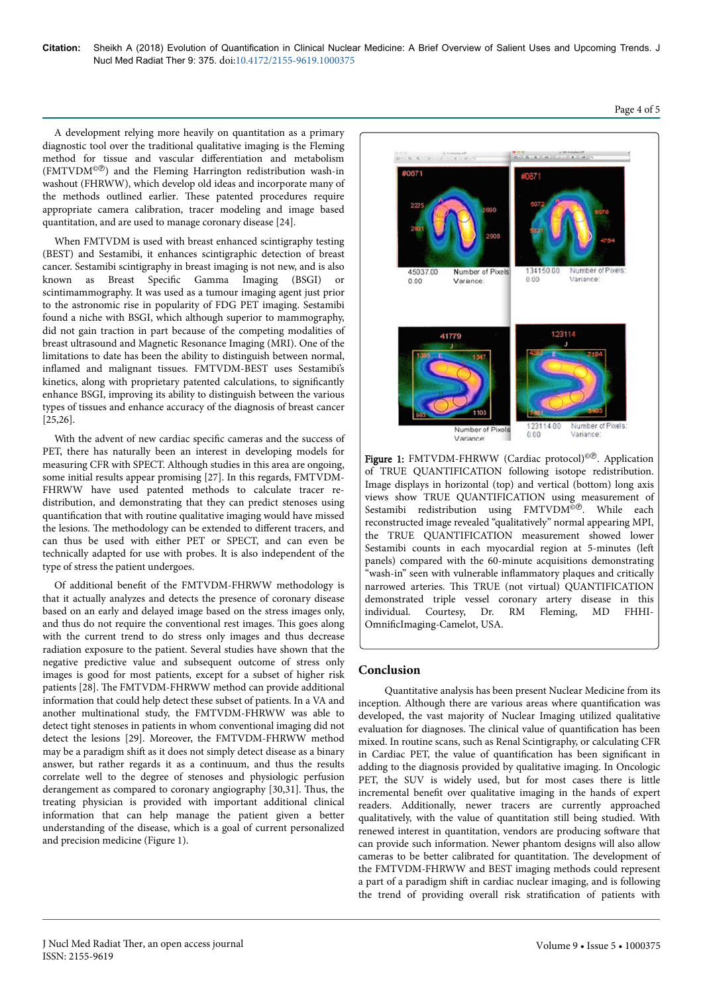A development relying more heavily on quantitation as a primary diagnostic tool over the traditional qualitative imaging is the Fleming method for tissue and vascular differentiation and metabolism (FMTVDM©℗) and the Fleming Harrington redistribution wash-in washout (FHRWW), which develop old ideas and incorporate many of the methods outlined earlier. Нese patented procedures require appropriate camera calibration, tracer modeling and image based quantitation, and are used to manage coronary disease [24].

When FMTVDM is used with breast enhanced scintigraphy testing (BEST) and Sestamibi, it enhances scintigraphic detection of breast cancer. Sestamibi scintigraphy in breast imaging is not new, and is also known as Breast 6pecific Gamma Imaging (BSGI) or scintimammography. It was used as a tumour imaging agent just prior to the astronomic rise in popularity of FDG PET imaging. Sestamibi found a niche with BSGI, which although superior to mammography, did not gain traction in part because of the competing modalities of breast ultrasound and Magnetic Resonance Imaging (MRI). One of the limitations to date has been the ability to distinguish between normal, inflamed and malignant tissues. FMTVDM-BEST uses Sestamibi's kinetics, along with proprietary patented calculations, to significantly enhance BSGI, improving its ability to distinguish between the various types of tissues and enhance accuracy of the diagnosis of breast cancer [25,26].

With the advent of new cardiac specific cameras and the success of PET, there has naturally been an interest in developing models for measuring CFR with SPECT. Although studies in this area are ongoing, some initial results appear promising [27]. In this regards, FMTVDM-FHRWW have used patented methods to calculate tracer redistribution, and demonstrating that they can predict stenoses using quantification that with routine qualitative imaging would have missed the lesions. The methodology can be extended to different tracers, and can thus be used with either PET or SPECT, and can even be technically adapted for use with probes. It is also independent of the type of stress the patient undergoes.

Of additional benefit of the FMTVDM-FHRWW methodology is that it actually analyzes and detects the presence of coronary disease based on an early and delayed image based on the stress images only, and thus do not require the conventional rest images. Нis goes along with the current trend to do stress only images and thus decrease radiation exposure to the patient. Several studies have shown that the negative predictive value and subsequent outcome of stress only images is good for most patients, except for a subset of higher risk patients [28]. Нe FMTVDM-FHRWW method can provide additional information that could help detect these subset of patients. In a VA and another multinational study, the FMTVDM-FHRWW was able to detect tight stenoses in patients in whom conventional imaging did not detect the lesions [29]. Moreover, the FMTVDM-FHRWW method may be a paradigm shift as it does not simply detect disease as a binary answer, but rather regards it as a continuum, and thus the results correlate well to the degree of stenoses and physiologic perfusion derangement as compared to coronary angiography [30,31]. Нus, the treating physician is provided with important additional clinical information that can help manage the patient given a better understanding of the disease, which is a goal of current personalized and precision medicine (Figure 1).



Figure 1: FMTVDM-FHRWW (Cardiac protocol)<sup>©©</sup>. Application of TRUE QUANTIFICATION following isotope redistribution. Image displays in horizontal (top) and vertical (bottom) long axis views show TRUE QUANTIFICATION using measurement of Sestamibi redistribution using FMTVDM<sup>©®</sup>. While each reconstructed image revealed "qualitatively" normal appearing MPI, the TRUE QUANTIFICATION measurement showed lower Sestamibi counts in each myocardial region at 5-minutes (left panels) compared with the 60-minute acquisitions demonstrating "wash-in" seen with vulnerable inflammatory plaques and critically narrowed arteries. Нis TRUE (not virtual) QUANTIFICATION demonstrated triple vessel coronary artery disease in this individual. Courtesy, Dr. RM Fleming, MD FHHIindividual. Courtesy, Dr. RM Fleming, MD FHHI-OmnificImaging-Camelot, USA.

# **Conclusion**

Quantitative analysis has been present Nuclear Medicine from its inception. Although there are various areas where quantification was developed, the vast majority of Nuclear Imaging utilized qualitative evaluation for diagnoses. Нe clinical value of quantification has been mixed. In routine scans, such as Renal Scintigraphy, or calculating CFR in Cardiac PET, the value of quantification has been significant in adding to the diagnosis provided by qualitative imaging. In Oncologic PET, the SUV is widely used, but for most cases there is little incremental benefit over qualitative imaging in the hands of expert readers. Additionally, newer tracers are currently approached qualitatively, with the value of quantitation still being studied. With renewed interest in quantitation, vendors are producing software that can provide such information. Newer phantom designs will also allow cameras to be better calibrated for quantitation. The development of the FMTVDM-FHRWW and BEST imaging methods could represent a part of a paradigm shift in cardiac nuclear imaging, and is following the trend of providing overall risk stratification of patients with

# Page 4 of 5